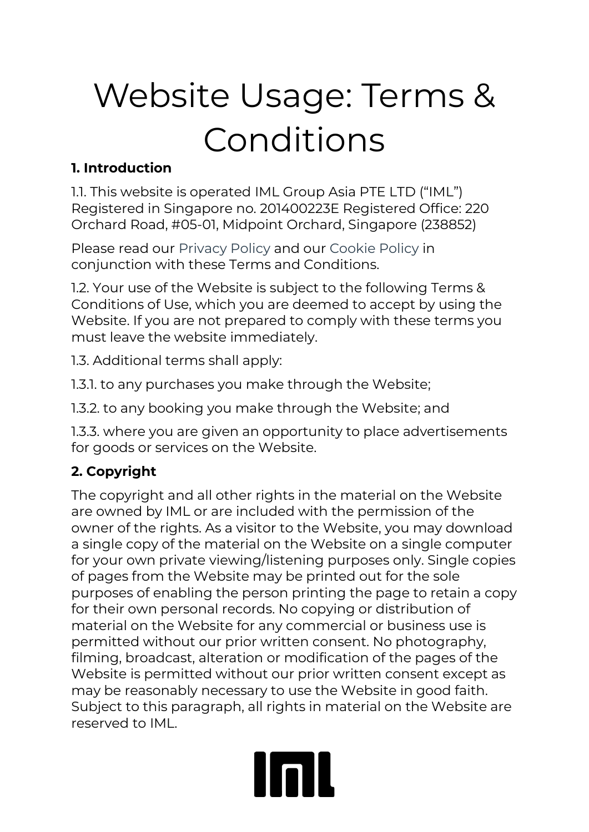# Website Usage: Terms & Conditions

#### **1. Introduction**

1.1. This website is operated IML Group Asia PTE LTD ("IML") Registered in Singapore no. 201400223E Registered Office: 220 Orchard Road, #05-01, Midpoint Orchard, Singapore (238852)

Please read our [Privacy Policy](http://www.imlgrouponthenet.net/terms/PrivacyPolicy.pdf) and our [Cookie Policy](http://www.imlgrouponthenet.net/terms/IML_Group_plc_Cookie_Policy.pdf) in conjunction with these Terms and Conditions.

1.2. Your use of the Website is subject to the following Terms & Conditions of Use, which you are deemed to accept by using the Website. If you are not prepared to comply with these terms you must leave the website immediately.

1.3. Additional terms shall apply:

1.3.1. to any purchases you make through the Website;

1.3.2. to any booking you make through the Website; and

1.3.3. where you are given an opportunity to place advertisements for goods or services on the Website.

## **2. Copyright**

The copyright and all other rights in the material on the Website are owned by IML or are included with the permission of the owner of the rights. As a visitor to the Website, you may download a single copy of the material on the Website on a single computer for your own private viewing/listening purposes only. Single copies of pages from the Website may be printed out for the sole purposes of enabling the person printing the page to retain a copy for their own personal records. No copying or distribution of material on the Website for any commercial or business use is permitted without our prior written consent. No photography, filming, broadcast, alteration or modification of the pages of the Website is permitted without our prior written consent except as may be reasonably necessary to use the Website in good faith. Subject to this paragraph, all rights in material on the Website are reserved to IML.

# **Inll**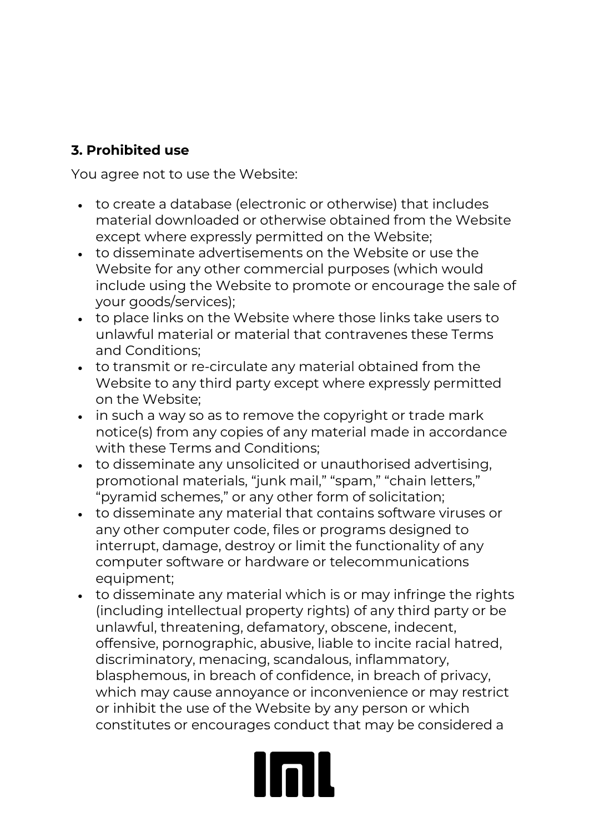#### **3. Prohibited use**

You agree not to use the Website:

- to create a database (electronic or otherwise) that includes material downloaded or otherwise obtained from the Website except where expressly permitted on the Website;
- to disseminate advertisements on the Website or use the Website for any other commercial purposes (which would include using the Website to promote or encourage the sale of your goods/services);
- to place links on the Website where those links take users to unlawful material or material that contravenes these Terms and Conditions;
- to transmit or re-circulate any material obtained from the Website to any third party except where expressly permitted on the Website;
- in such a way so as to remove the copyright or trade mark notice(s) from any copies of any material made in accordance with these Terms and Conditions;
- to disseminate any unsolicited or unauthorised advertising, promotional materials, "junk mail," "spam," "chain letters," "pyramid schemes," or any other form of solicitation;
- to disseminate any material that contains software viruses or any other computer code, files or programs designed to interrupt, damage, destroy or limit the functionality of any computer software or hardware or telecommunications equipment;
- to disseminate any material which is or may infringe the rights (including intellectual property rights) of any third party or be unlawful, threatening, defamatory, obscene, indecent, offensive, pornographic, abusive, liable to incite racial hatred, discriminatory, menacing, scandalous, inflammatory, blasphemous, in breach of confidence, in breach of privacy, which may cause annoyance or inconvenience or may restrict or inhibit the use of the Website by any person or which constitutes or encourages conduct that may be considered a

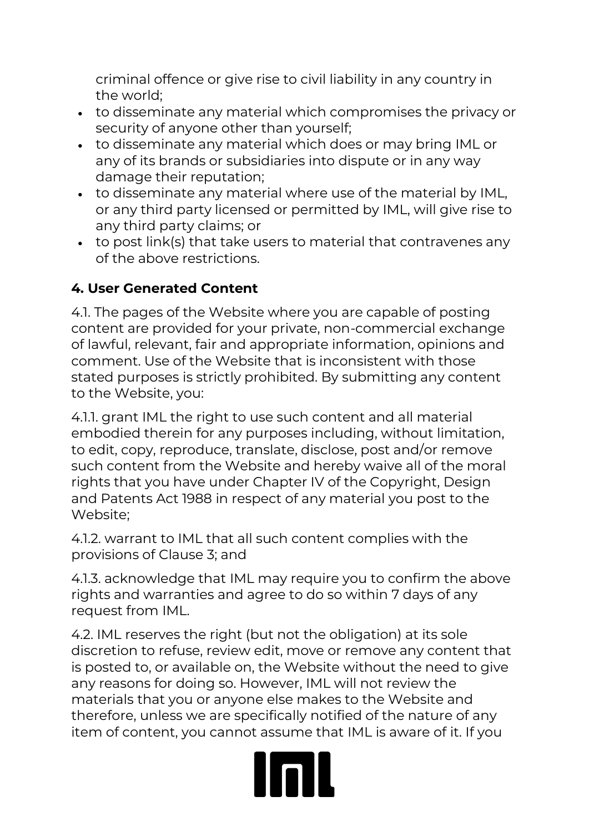criminal offence or give rise to civil liability in any country in the world;

- to disseminate any material which compromises the privacy or security of anyone other than yourself;
- to disseminate any material which does or may bring IML or any of its brands or subsidiaries into dispute or in any way damage their reputation;
- to disseminate any material where use of the material by IML, or any third party licensed or permitted by IML, will give rise to any third party claims; or
- to post link(s) that take users to material that contravenes any of the above restrictions.

#### **4. User Generated Content**

4.1. The pages of the Website where you are capable of posting content are provided for your private, non-commercial exchange of lawful, relevant, fair and appropriate information, opinions and comment. Use of the Website that is inconsistent with those stated purposes is strictly prohibited. By submitting any content to the Website, you:

4.1.1. grant IML the right to use such content and all material embodied therein for any purposes including, without limitation, to edit, copy, reproduce, translate, disclose, post and/or remove such content from the Website and hereby waive all of the moral rights that you have under Chapter IV of the Copyright, Design and Patents Act 1988 in respect of any material you post to the Website;

4.1.2. warrant to IML that all such content complies with the provisions of Clause 3; and

4.1.3. acknowledge that IML may require you to confirm the above rights and warranties and agree to do so within 7 days of any request from IML.

4.2. IML reserves the right (but not the obligation) at its sole discretion to refuse, review edit, move or remove any content that is posted to, or available on, the Website without the need to give any reasons for doing so. However, IML will not review the materials that you or anyone else makes to the Website and therefore, unless we are specifically notified of the nature of any item of content, you cannot assume that IML is aware of it. If you

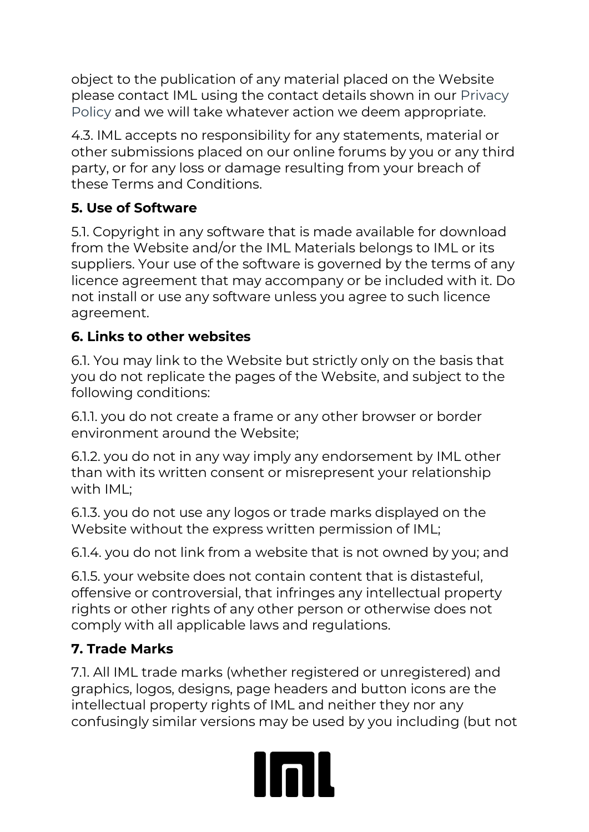object to the publication of any material placed on the Website please contact IML using the contact details shown in our [Privacy](http://www.imlgrouponthenet.net/terms/PrivacyPolicy.pdf)  [Policy](http://www.imlgrouponthenet.net/terms/PrivacyPolicy.pdf) and we will take whatever action we deem appropriate.

4.3. IML accepts no responsibility for any statements, material or other submissions placed on our online forums by you or any third party, or for any loss or damage resulting from your breach of these Terms and Conditions.

### **5. Use of Software**

5.1. Copyright in any software that is made available for download from the Website and/or the IML Materials belongs to IML or its suppliers. Your use of the software is governed by the terms of any licence agreement that may accompany or be included with it. Do not install or use any software unless you agree to such licence agreement.

#### **6. Links to other websites**

6.1. You may link to the Website but strictly only on the basis that you do not replicate the pages of the Website, and subject to the following conditions:

6.1.1. you do not create a frame or any other browser or border environment around the Website;

6.1.2. you do not in any way imply any endorsement by IML other than with its written consent or misrepresent your relationship with IML;

6.1.3. you do not use any logos or trade marks displayed on the Website without the express written permission of IML;

6.1.4. you do not link from a website that is not owned by you; and

6.1.5. your website does not contain content that is distasteful, offensive or controversial, that infringes any intellectual property rights or other rights of any other person or otherwise does not comply with all applicable laws and regulations.

### **7. Trade Marks**

7.1. All IML trade marks (whether registered or unregistered) and graphics, logos, designs, page headers and button icons are the intellectual property rights of IML and neither they nor any confusingly similar versions may be used by you including (but not

# Inl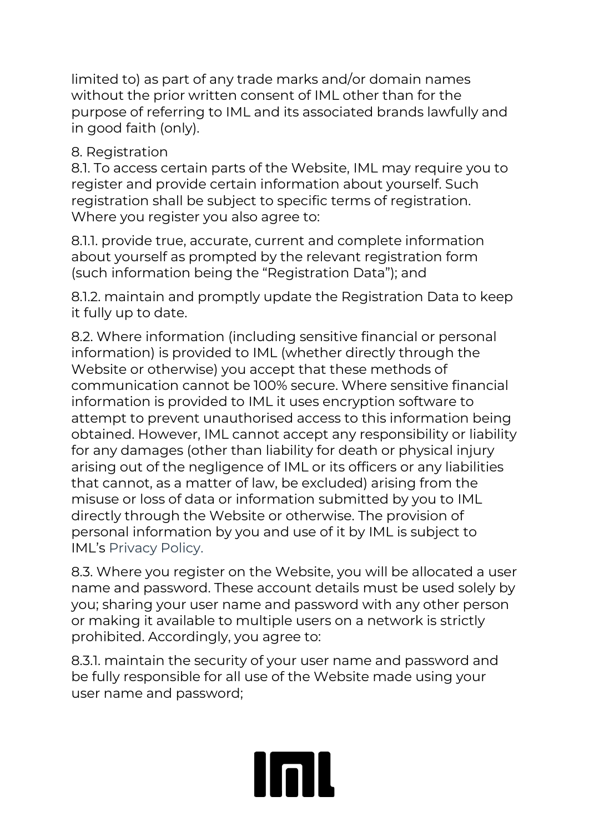limited to) as part of any trade marks and/or domain names without the prior written consent of IML other than for the purpose of referring to IML and its associated brands lawfully and in good faith (only).

#### 8. Registration

8.1. To access certain parts of the Website, IML may require you to register and provide certain information about yourself. Such registration shall be subject to specific terms of registration. Where you register you also agree to:

8.1.1. provide true, accurate, current and complete information about yourself as prompted by the relevant registration form (such information being the "Registration Data"); and

8.1.2. maintain and promptly update the Registration Data to keep it fully up to date.

8.2. Where information (including sensitive financial or personal information) is provided to IML (whether directly through the Website or otherwise) you accept that these methods of communication cannot be 100% secure. Where sensitive financial information is provided to IML it uses encryption software to attempt to prevent unauthorised access to this information being obtained. However, IML cannot accept any responsibility or liability for any damages (other than liability for death or physical injury arising out of the negligence of IML or its officers or any liabilities that cannot, as a matter of law, be excluded) arising from the misuse or loss of data or information submitted by you to IML directly through the Website or otherwise. The provision of personal information by you and use of it by IML is subject to IML's Privacy Policy.

8.3. Where you register on the Website, you will be allocated a user name and password. These account details must be used solely by you; sharing your user name and password with any other person or making it available to multiple users on a network is strictly prohibited. Accordingly, you agree to:

8.3.1. maintain the security of your user name and password and be fully responsible for all use of the Website made using your user name and password;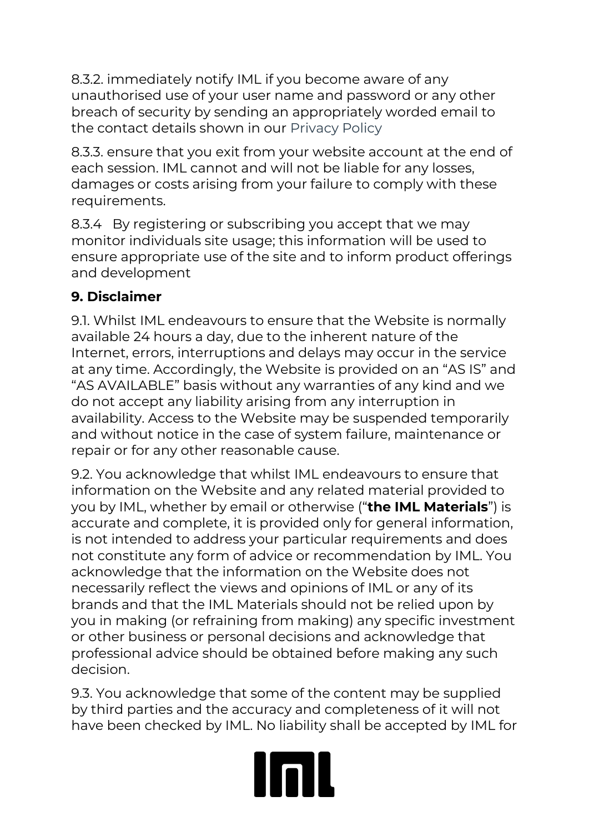8.3.2. immediately notify IML if you become aware of any unauthorised use of your user name and password or any other breach of security by sending an appropriately worded email to the contact details shown in our Privacy Policy

8.3.3. ensure that you exit from your website account at the end of each session. IML cannot and will not be liable for any losses, damages or costs arising from your failure to comply with these requirements.

8.3.4 By registering or subscribing you accept that we may monitor individuals site usage; this information will be used to ensure appropriate use of the site and to inform product offerings and development

#### **9. Disclaimer**

9.1. Whilst IML endeavours to ensure that the Website is normally available 24 hours a day, due to the inherent nature of the Internet, errors, interruptions and delays may occur in the service at any time. Accordingly, the Website is provided on an "AS IS" and "AS AVAILABLE" basis without any warranties of any kind and we do not accept any liability arising from any interruption in availability. Access to the Website may be suspended temporarily and without notice in the case of system failure, maintenance or repair or for any other reasonable cause.

9.2. You acknowledge that whilst IML endeavours to ensure that information on the Website and any related material provided to you by IML, whether by email or otherwise ("**the IML Materials**") is accurate and complete, it is provided only for general information, is not intended to address your particular requirements and does not constitute any form of advice or recommendation by IML. You acknowledge that the information on the Website does not necessarily reflect the views and opinions of IML or any of its brands and that the IML Materials should not be relied upon by you in making (or refraining from making) any specific investment or other business or personal decisions and acknowledge that professional advice should be obtained before making any such decision.

9.3. You acknowledge that some of the content may be supplied by third parties and the accuracy and completeness of it will not have been checked by IML. No liability shall be accepted by IML for

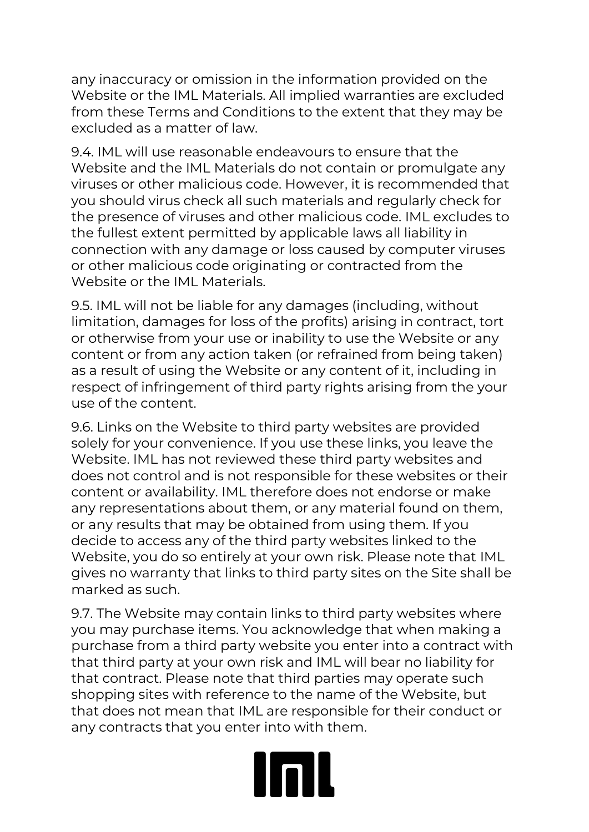any inaccuracy or omission in the information provided on the Website or the IML Materials. All implied warranties are excluded from these Terms and Conditions to the extent that they may be excluded as a matter of law.

9.4. IML will use reasonable endeavours to ensure that the Website and the IML Materials do not contain or promulgate any viruses or other malicious code. However, it is recommended that you should virus check all such materials and regularly check for the presence of viruses and other malicious code. IML excludes to the fullest extent permitted by applicable laws all liability in connection with any damage or loss caused by computer viruses or other malicious code originating or contracted from the Website or the IML Materials.

9.5. IML will not be liable for any damages (including, without limitation, damages for loss of the profits) arising in contract, tort or otherwise from your use or inability to use the Website or any content or from any action taken (or refrained from being taken) as a result of using the Website or any content of it, including in respect of infringement of third party rights arising from the your use of the content.

9.6. Links on the Website to third party websites are provided solely for your convenience. If you use these links, you leave the Website. IML has not reviewed these third party websites and does not control and is not responsible for these websites or their content or availability. IML therefore does not endorse or make any representations about them, or any material found on them, or any results that may be obtained from using them. If you decide to access any of the third party websites linked to the Website, you do so entirely at your own risk. Please note that IML gives no warranty that links to third party sites on the Site shall be marked as such.

9.7. The Website may contain links to third party websites where you may purchase items. You acknowledge that when making a purchase from a third party website you enter into a contract with that third party at your own risk and IML will bear no liability for that contract. Please note that third parties may operate such shopping sites with reference to the name of the Website, but that does not mean that IML are responsible for their conduct or any contracts that you enter into with them.

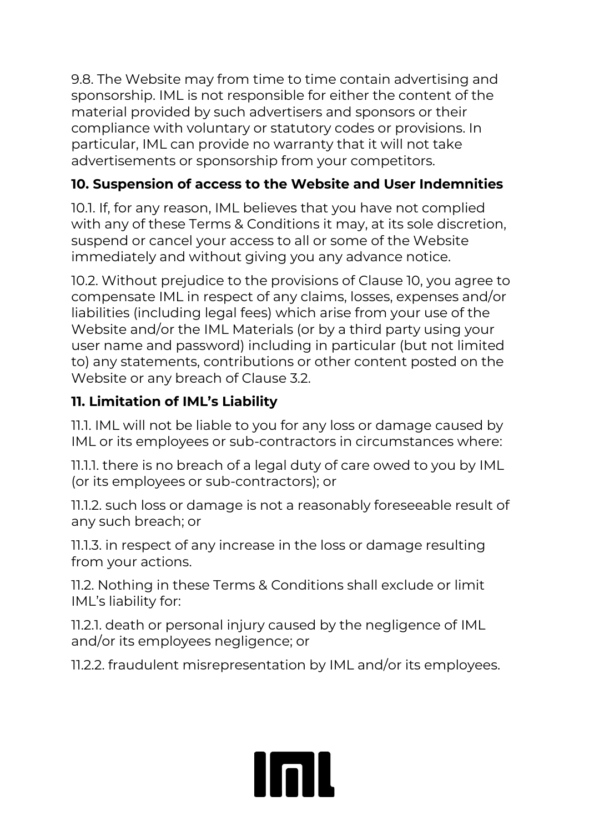9.8. The Website may from time to time contain advertising and sponsorship. IML is not responsible for either the content of the material provided by such advertisers and sponsors or their compliance with voluntary or statutory codes or provisions. In particular, IML can provide no warranty that it will not take advertisements or sponsorship from your competitors.

### **10. Suspension of access to the Website and User Indemnities**

10.1. If, for any reason, IML believes that you have not complied with any of these Terms & Conditions it may, at its sole discretion, suspend or cancel your access to all or some of the Website immediately and without giving you any advance notice.

10.2. Without prejudice to the provisions of Clause 10, you agree to compensate IML in respect of any claims, losses, expenses and/or liabilities (including legal fees) which arise from your use of the Website and/or the IML Materials (or by a third party using your user name and password) including in particular (but not limited to) any statements, contributions or other content posted on the Website or any breach of Clause 3.2.

### **11. Limitation of IML's Liability**

11.1. IML will not be liable to you for any loss or damage caused by IML or its employees or sub-contractors in circumstances where:

11.1.1. there is no breach of a legal duty of care owed to you by IML (or its employees or sub-contractors); or

11.1.2. such loss or damage is not a reasonably foreseeable result of any such breach; or

11.1.3. in respect of any increase in the loss or damage resulting from your actions.

11.2. Nothing in these Terms & Conditions shall exclude or limit IML's liability for:

11.2.1. death or personal injury caused by the negligence of IML and/or its employees negligence; or

11.2.2. fraudulent misrepresentation by IML and/or its employees.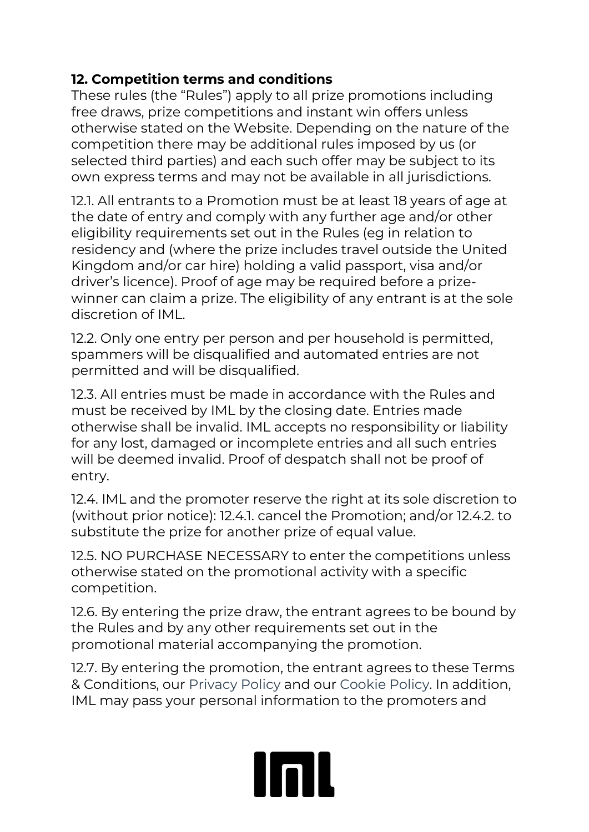#### **12. Competition terms and conditions**

These rules (the "Rules") apply to all prize promotions including free draws, prize competitions and instant win offers unless otherwise stated on the Website. Depending on the nature of the competition there may be additional rules imposed by us (or selected third parties) and each such offer may be subject to its own express terms and may not be available in all jurisdictions.

12.1. All entrants to a Promotion must be at least 18 years of age at the date of entry and comply with any further age and/or other eligibility requirements set out in the Rules (eg in relation to residency and (where the prize includes travel outside the United Kingdom and/or car hire) holding a valid passport, visa and/or driver's licence). Proof of age may be required before a prizewinner can claim a prize. The eligibility of any entrant is at the sole discretion of IML.

12.2. Only one entry per person and per household is permitted, spammers will be disqualified and automated entries are not permitted and will be disqualified.

12.3. All entries must be made in accordance with the Rules and must be received by IML by the closing date. Entries made otherwise shall be invalid. IML accepts no responsibility or liability for any lost, damaged or incomplete entries and all such entries will be deemed invalid. Proof of despatch shall not be proof of entry.

12.4. IML and the promoter reserve the right at its sole discretion to (without prior notice): 12.4.1. cancel the Promotion; and/or 12.4.2. to substitute the prize for another prize of equal value.

12.5. NO PURCHASE NECESSARY to enter the competitions unless otherwise stated on the promotional activity with a specific competition.

12.6. By entering the prize draw, the entrant agrees to be bound by the Rules and by any other requirements set out in the promotional material accompanying the promotion.

12.7. By entering the promotion, the entrant agrees to these Terms & Conditions, our [Privacy Policy](http://www.imlgrouponthenet.net/terms/PrivacyPolicy.pdf) and our [Cookie Policy.](http://www.imlgrouponthenet.net/terms/IML_Group_plc_Cookie_Policy.pdf) In addition, IML may pass your personal information to the promoters and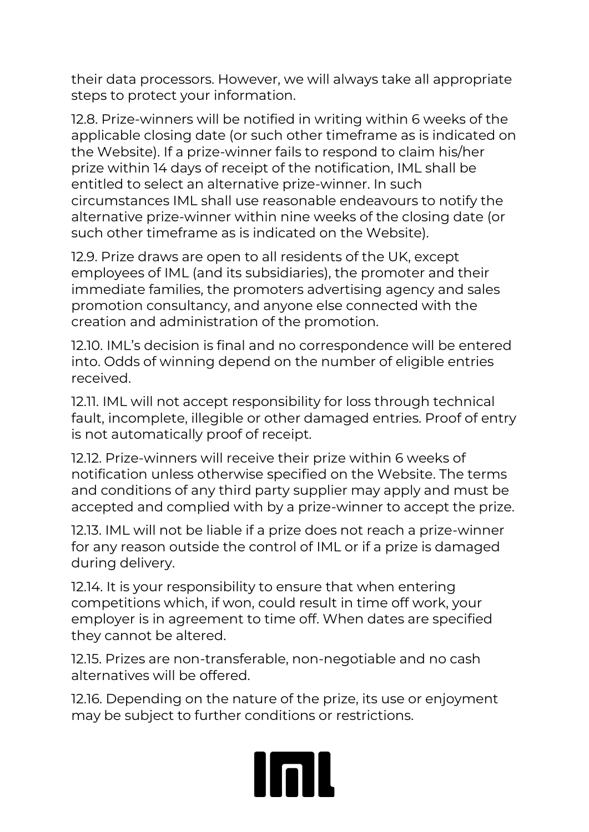their data processors. However, we will always take all appropriate steps to protect your information.

12.8. Prize-winners will be notified in writing within 6 weeks of the applicable closing date (or such other timeframe as is indicated on the Website). If a prize-winner fails to respond to claim his/her prize within 14 days of receipt of the notification, IML shall be entitled to select an alternative prize-winner. In such circumstances IML shall use reasonable endeavours to notify the alternative prize-winner within nine weeks of the closing date (or such other timeframe as is indicated on the Website).

12.9. Prize draws are open to all residents of the UK, except employees of IML (and its subsidiaries), the promoter and their immediate families, the promoters advertising agency and sales promotion consultancy, and anyone else connected with the creation and administration of the promotion.

12.10. IML's decision is final and no correspondence will be entered into. Odds of winning depend on the number of eligible entries received.

12.11. IML will not accept responsibility for loss through technical fault, incomplete, illegible or other damaged entries. Proof of entry is not automatically proof of receipt.

12.12. Prize-winners will receive their prize within 6 weeks of notification unless otherwise specified on the Website. The terms and conditions of any third party supplier may apply and must be accepted and complied with by a prize-winner to accept the prize.

12.13. IML will not be liable if a prize does not reach a prize-winner for any reason outside the control of IML or if a prize is damaged during delivery.

12.14. It is your responsibility to ensure that when entering competitions which, if won, could result in time off work, your employer is in agreement to time off. When dates are specified they cannot be altered.

12.15. Prizes are non-transferable, non-negotiable and no cash alternatives will be offered.

12.16. Depending on the nature of the prize, its use or enjoyment may be subject to further conditions or restrictions.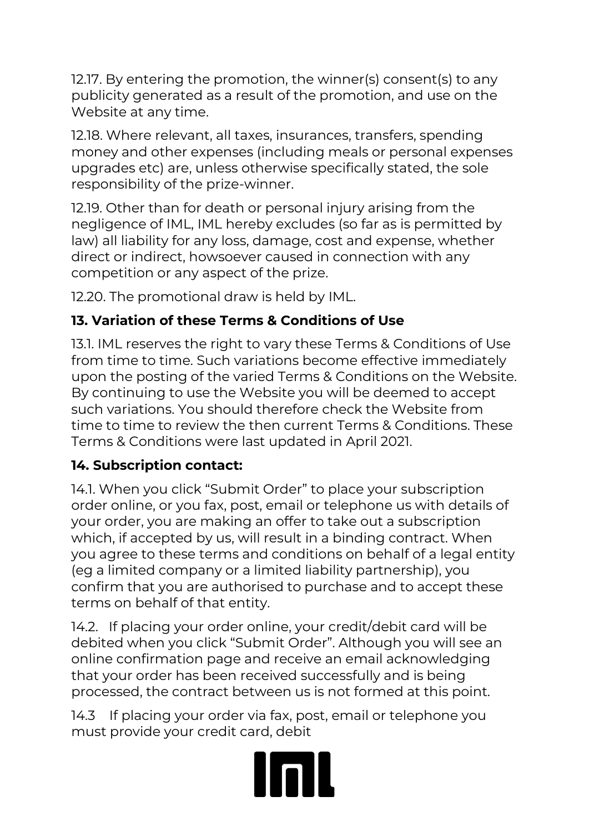12.17. By entering the promotion, the winner(s) consent(s) to any publicity generated as a result of the promotion, and use on the Website at any time.

12.18. Where relevant, all taxes, insurances, transfers, spending money and other expenses (including meals or personal expenses upgrades etc) are, unless otherwise specifically stated, the sole responsibility of the prize-winner.

12.19. Other than for death or personal injury arising from the negligence of IML, IML hereby excludes (so far as is permitted by law) all liability for any loss, damage, cost and expense, whether direct or indirect, howsoever caused in connection with any competition or any aspect of the prize.

12.20. The promotional draw is held by IML.

### **13. Variation of these Terms & Conditions of Use**

13.1. IML reserves the right to vary these Terms & Conditions of Use from time to time. Such variations become effective immediately upon the posting of the varied Terms & Conditions on the Website. By continuing to use the Website you will be deemed to accept such variations. You should therefore check the Website from time to time to review the then current Terms & Conditions. These Terms & Conditions were last updated in April 2021.

### **14. Subscription contact:**

14.1. When you click "Submit Order" to place your subscription order online, or you fax, post, email or telephone us with details of your order, you are making an offer to take out a subscription which, if accepted by us, will result in a binding contract. When you agree to these terms and conditions on behalf of a legal entity (eg a limited company or a limited liability partnership), you confirm that you are authorised to purchase and to accept these terms on behalf of that entity.

14.2. If placing your order online, your credit/debit card will be debited when you click "Submit Order". Although you will see an online confirmation page and receive an email acknowledging that your order has been received successfully and is being processed, the contract between us is not formed at this point.

14.3 If placing your order via fax, post, email or telephone you must provide your credit card, debit

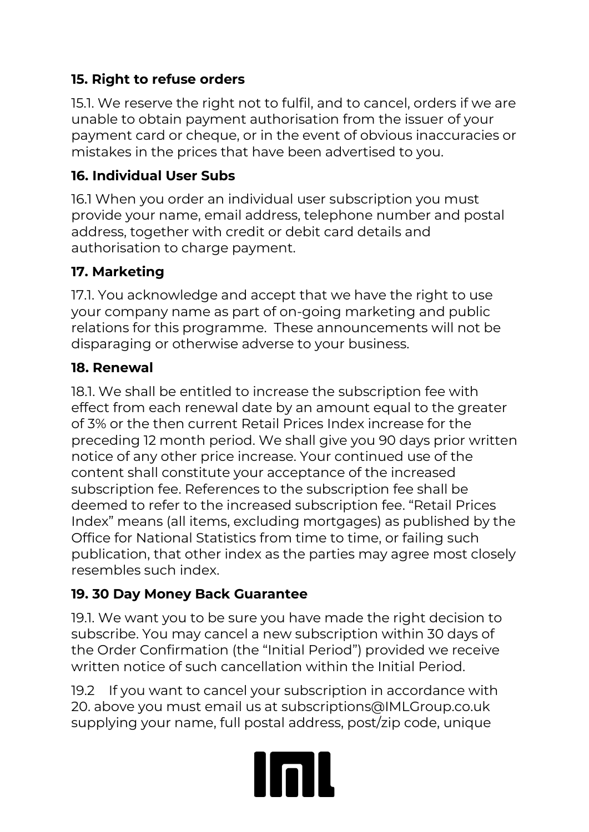#### **15. Right to refuse orders**

15.1. We reserve the right not to fulfil, and to cancel, orders if we are unable to obtain payment authorisation from the issuer of your payment card or cheque, or in the event of obvious inaccuracies or mistakes in the prices that have been advertised to you.

#### **16. Individual User Subs**

16.1 When you order an individual user subscription you must provide your name, email address, telephone number and postal address, together with credit or debit card details and authorisation to charge payment.

#### **17. Marketing**

17.1. You acknowledge and accept that we have the right to use your company name as part of on-going marketing and public relations for this programme. These announcements will not be disparaging or otherwise adverse to your business.

#### **18. Renewal**

18.1. We shall be entitled to increase the subscription fee with effect from each renewal date by an amount equal to the greater of 3% or the then current Retail Prices Index increase for the preceding 12 month period. We shall give you 90 days prior written notice of any other price increase. Your continued use of the content shall constitute your acceptance of the increased subscription fee. References to the subscription fee shall be deemed to refer to the increased subscription fee. "Retail Prices Index" means (all items, excluding mortgages) as published by the Office for National Statistics from time to time, or failing such publication, that other index as the parties may agree most closely resembles such index.

#### **19. 30 Day Money Back Guarantee**

19.1. We want you to be sure you have made the right decision to subscribe. You may cancel a new subscription within 30 days of the Order Confirmation (the "Initial Period") provided we receive written notice of such cancellation within the Initial Period.

19.2 If you want to cancel your subscription in accordance with 20. above you must email us at subscriptions@IMLGroup.co.uk supplying your name, full postal address, post/zip code, unique

# Inl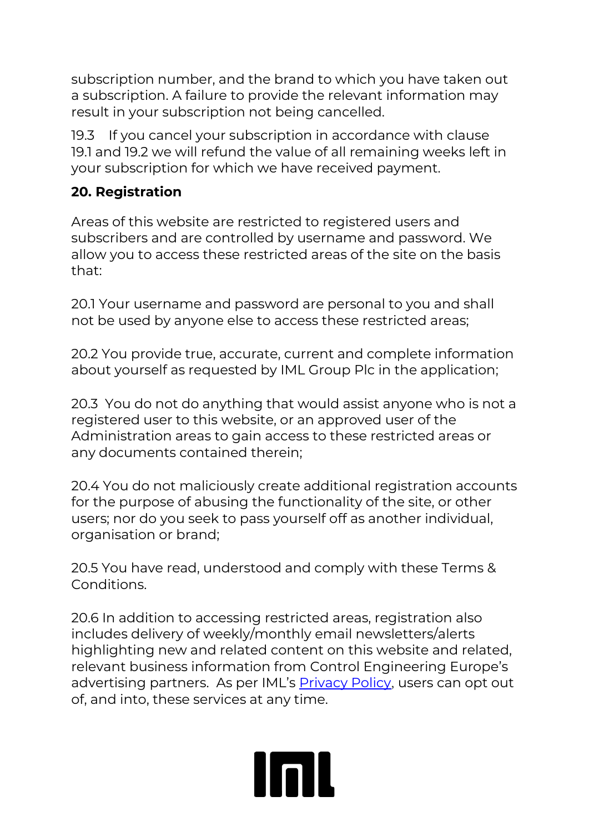subscription number, and the brand to which you have taken out a subscription. A failure to provide the relevant information may result in your subscription not being cancelled.

19.3 If you cancel your subscription in accordance with clause 19.1 and 19.2 we will refund the value of all remaining weeks left in your subscription for which we have received payment.

#### **20. Registration**

Areas of this website are restricted to registered users and subscribers and are controlled by username and password. We allow you to access these restricted areas of the site on the basis that:

20.1 Your username and password are personal to you and shall not be used by anyone else to access these restricted areas;

20.2 You provide true, accurate, current and complete information about yourself as requested by IML Group Plc in the application;

20.3 You do not do anything that would assist anyone who is not a registered user to this website, or an approved user of the Administration areas to gain access to these restricted areas or any documents contained therein;

20.4 You do not maliciously create additional registration accounts for the purpose of abusing the functionality of the site, or other users; nor do you seek to pass yourself off as another individual, organisation or brand;

20.5 You have read, understood and comply with these Terms & Conditions.

20.6 In addition to accessing restricted areas, registration also includes delivery of weekly/monthly email newsletters/alerts highlighting new and related content on this website and related, relevant business information from Control Engineering Europe's advertising partners. As per IML's **[Privacy Policy](http://www.imlgrouponthenet.net/terms/PrivacyPolicy.pdf)**, users can opt out of, and into, these services at any time.

**Inll**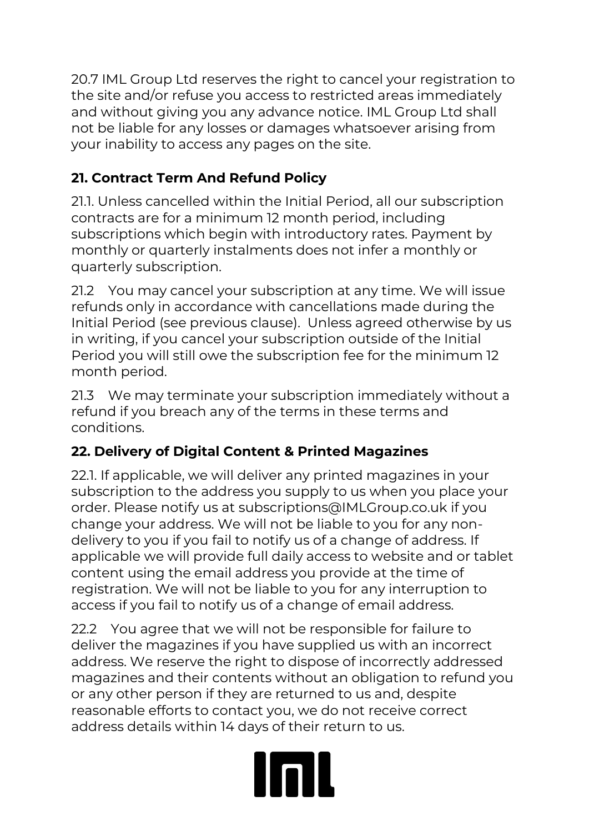20.7 IML Group Ltd reserves the right to cancel your registration to the site and/or refuse you access to restricted areas immediately and without giving you any advance notice. IML Group Ltd shall not be liable for any losses or damages whatsoever arising from your inability to access any pages on the site.

## **21. Contract Term And Refund Policy**

21.1. Unless cancelled within the Initial Period, all our subscription contracts are for a minimum 12 month period, including subscriptions which begin with introductory rates. Payment by monthly or quarterly instalments does not infer a monthly or quarterly subscription.

21.2 You may cancel your subscription at any time. We will issue refunds only in accordance with cancellations made during the Initial Period (see previous clause). Unless agreed otherwise by us in writing, if you cancel your subscription outside of the Initial Period you will still owe the subscription fee for the minimum 12 month period.

21.3 We may terminate your subscription immediately without a refund if you breach any of the terms in these terms and conditions.

### **22. Delivery of Digital Content & Printed Magazines**

22.1. If applicable, we will deliver any printed magazines in your subscription to the address you supply to us when you place your order. Please notify us at subscriptions@IMLGroup.co.uk if you change your address. We will not be liable to you for any nondelivery to you if you fail to notify us of a change of address. If applicable we will provide full daily access to website and or tablet content using the email address you provide at the time of registration. We will not be liable to you for any interruption to access if you fail to notify us of a change of email address.

22.2 You agree that we will not be responsible for failure to deliver the magazines if you have supplied us with an incorrect address. We reserve the right to dispose of incorrectly addressed magazines and their contents without an obligation to refund you or any other person if they are returned to us and, despite reasonable efforts to contact you, we do not receive correct address details within 14 days of their return to us.

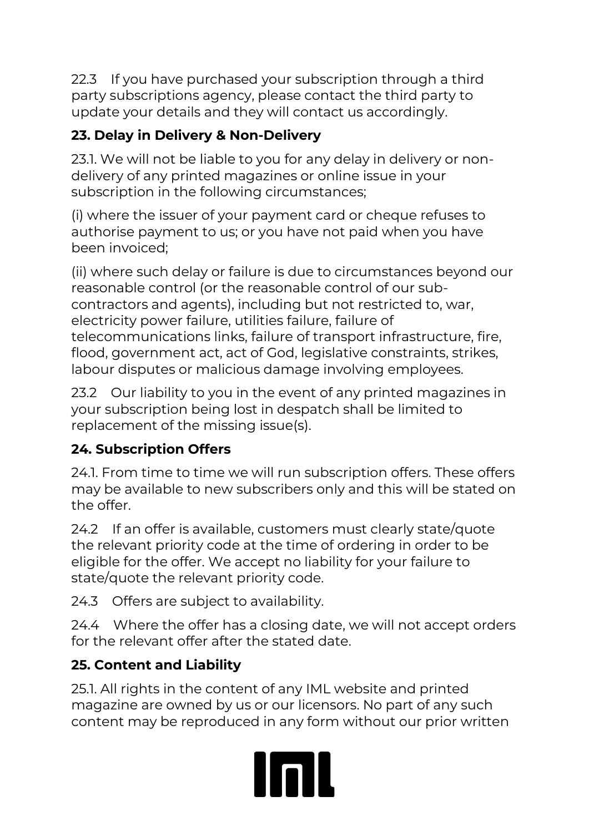22.3 If you have purchased your subscription through a third party subscriptions agency, please contact the third party to update your details and they will contact us accordingly.

# **23. Delay in Delivery & Non-Delivery**

23.1. We will not be liable to you for any delay in delivery or nondelivery of any printed magazines or online issue in your subscription in the following circumstances;

(i) where the issuer of your payment card or cheque refuses to authorise payment to us; or you have not paid when you have been invoiced;

(ii) where such delay or failure is due to circumstances beyond our reasonable control (or the reasonable control of our subcontractors and agents), including but not restricted to, war, electricity power failure, utilities failure, failure of telecommunications links, failure of transport infrastructure, fire, flood, government act, act of God, legislative constraints, strikes, labour disputes or malicious damage involving employees.

23.2 Our liability to you in the event of any printed magazines in your subscription being lost in despatch shall be limited to replacement of the missing issue(s).

# **24. Subscription Offers**

24.1. From time to time we will run subscription offers. These offers may be available to new subscribers only and this will be stated on the offer.

24.2 If an offer is available, customers must clearly state/quote the relevant priority code at the time of ordering in order to be eligible for the offer. We accept no liability for your failure to state/quote the relevant priority code.

24.3 Offers are subject to availability.

24.4 Where the offer has a closing date, we will not accept orders for the relevant offer after the stated date.

# **25. Content and Liability**

25.1. All rights in the content of any IML website and printed magazine are owned by us or our licensors. No part of any such content may be reproduced in any form without our prior written

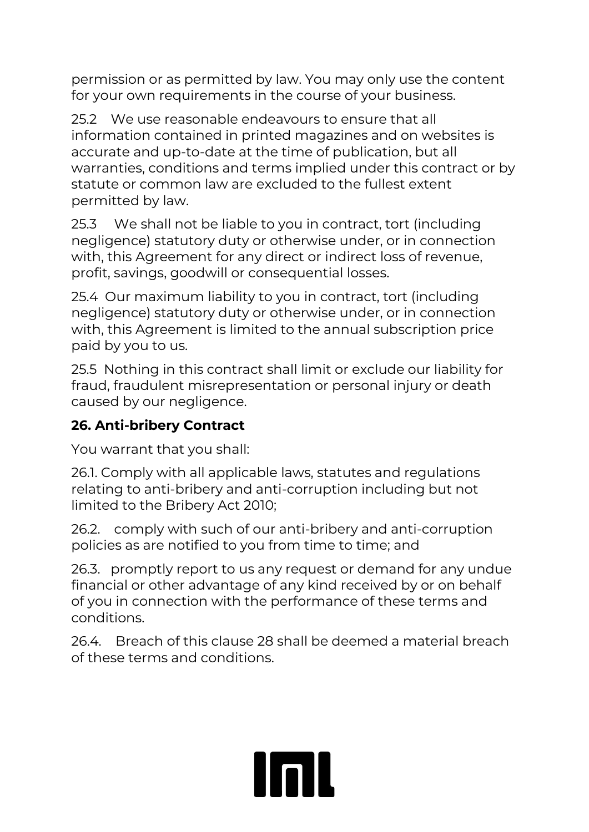permission or as permitted by law. You may only use the content for your own requirements in the course of your business.

25.2 We use reasonable endeavours to ensure that all information contained in printed magazines and on websites is accurate and up-to-date at the time of publication, but all warranties, conditions and terms implied under this contract or by statute or common law are excluded to the fullest extent permitted by law.

25.3 We shall not be liable to you in contract, tort (including negligence) statutory duty or otherwise under, or in connection with, this Agreement for any direct or indirect loss of revenue, profit, savings, goodwill or consequential losses.

25.4 Our maximum liability to you in contract, tort (including negligence) statutory duty or otherwise under, or in connection with, this Agreement is limited to the annual subscription price paid by you to us.

25.5 Nothing in this contract shall limit or exclude our liability for fraud, fraudulent misrepresentation or personal injury or death caused by our negligence.

#### **26. Anti-bribery Contract**

You warrant that you shall:

26.1. Comply with all applicable laws, statutes and regulations relating to anti-bribery and anti-corruption including but not limited to the Bribery Act 2010;

26.2. comply with such of our anti-bribery and anti-corruption policies as are notified to you from time to time; and

26.3. promptly report to us any request or demand for any undue financial or other advantage of any kind received by or on behalf of you in connection with the performance of these terms and conditions.

26.4. Breach of this clause 28 shall be deemed a material breach of these terms and conditions.

linil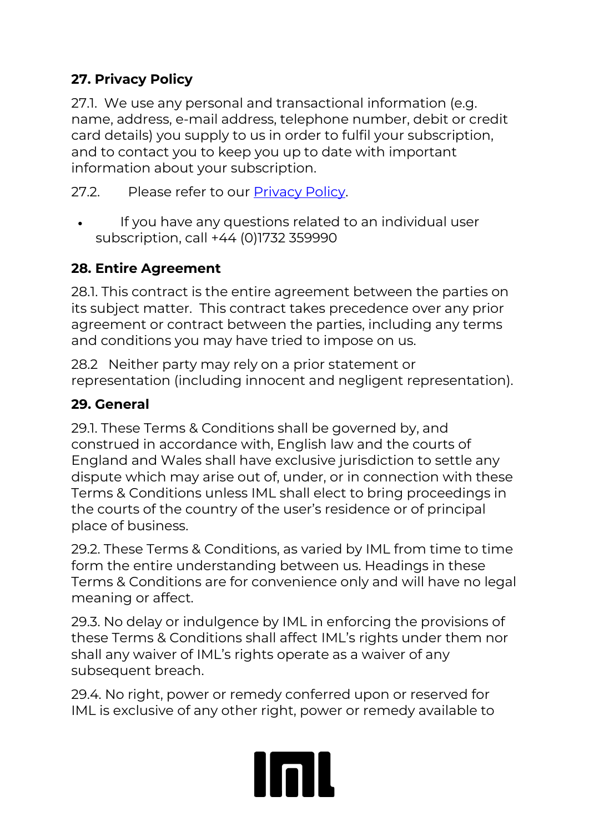#### **27. Privacy Policy**

27.1. We use any personal and transactional information (e.g. name, address, e-mail address, telephone number, debit or credit card details) you supply to us in order to fulfil your subscription, and to contact you to keep you up to date with important information about your subscription.

27.2. Please refer to our [Privacy Policy.](http://www.imlgrouponthenet.net/terms/PrivacyPolicy.pdf)

• If you have any questions related to an individual user subscription, call +44 (0)1732 359990

#### **28. Entire Agreement**

28.1. This contract is the entire agreement between the parties on its subject matter. This contract takes precedence over any prior agreement or contract between the parties, including any terms and conditions you may have tried to impose on us.

28.2 Neither party may rely on a prior statement or representation (including innocent and negligent representation).

#### **29. General**

29.1. These Terms & Conditions shall be governed by, and construed in accordance with, English law and the courts of England and Wales shall have exclusive jurisdiction to settle any dispute which may arise out of, under, or in connection with these Terms & Conditions unless IML shall elect to bring proceedings in the courts of the country of the user's residence or of principal place of business.

29.2. These Terms & Conditions, as varied by IML from time to time form the entire understanding between us. Headings in these Terms & Conditions are for convenience only and will have no legal meaning or affect.

29.3. No delay or indulgence by IML in enforcing the provisions of these Terms & Conditions shall affect IML's rights under them nor shall any waiver of IML's rights operate as a waiver of any subsequent breach.

29.4. No right, power or remedy conferred upon or reserved for IML is exclusive of any other right, power or remedy available to